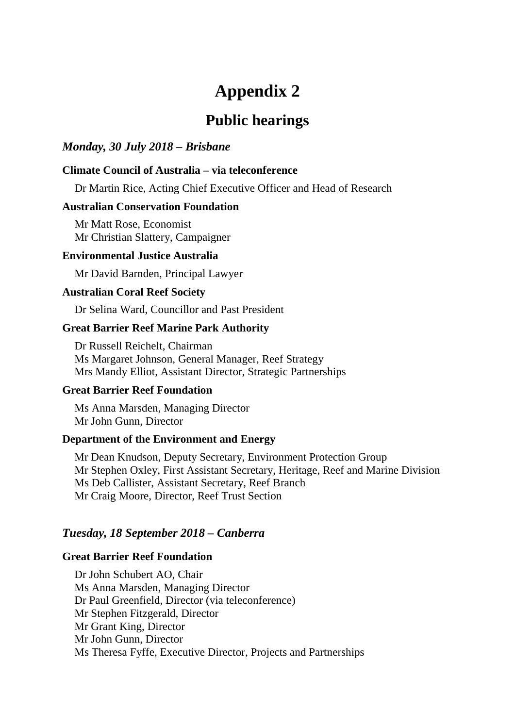# **Appendix 2**

## **Public hearings**

## *Monday, 30 July 2018 – Brisbane*

## **Climate Council of Australia – via teleconference**

Dr Martin Rice, Acting Chief Executive Officer and Head of Research

## **Australian Conservation Foundation**

Mr Matt Rose, Economist Mr Christian Slattery, Campaigner

## **Environmental Justice Australia**

Mr David Barnden, Principal Lawyer

## **Australian Coral Reef Society**

Dr Selina Ward, Councillor and Past President

## **Great Barrier Reef Marine Park Authority**

Dr Russell Reichelt, Chairman Ms Margaret Johnson, General Manager, Reef Strategy Mrs Mandy Elliot, Assistant Director, Strategic Partnerships

## **Great Barrier Reef Foundation**

Ms Anna Marsden, Managing Director Mr John Gunn, Director

## **Department of the Environment and Energy**

Mr Dean Knudson, Deputy Secretary, Environment Protection Group Mr Stephen Oxley, First Assistant Secretary, Heritage, Reef and Marine Division Ms Deb Callister, Assistant Secretary, Reef Branch Mr Craig Moore, Director, Reef Trust Section

## *Tuesday, 18 September 2018 – Canberra*

#### **Great Barrier Reef Foundation**

Dr John Schubert AO, Chair Ms Anna Marsden, Managing Director Dr Paul Greenfield, Director (via teleconference) Mr Stephen Fitzgerald, Director Mr Grant King, Director Mr John Gunn, Director Ms Theresa Fyffe, Executive Director, Projects and Partnerships